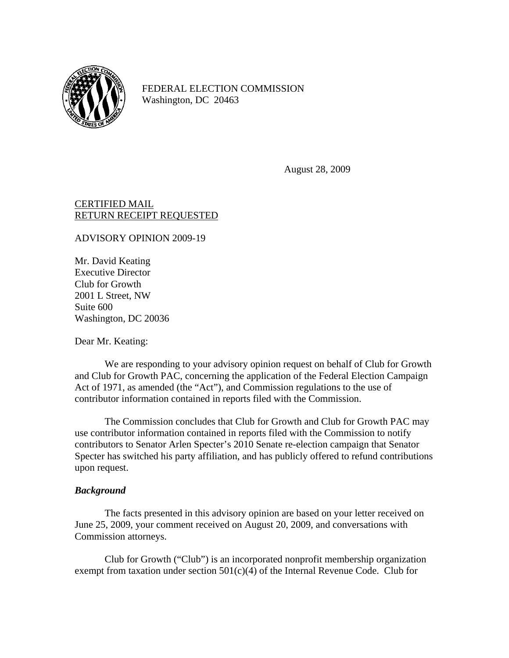

FEDERAL ELECTION COMMISSION Washington, DC 20463

August 28, 2009

# CERTIFIED MAIL RETURN RECEIPT REQUESTED

ADVISORY OPINION 2009-19

Mr. David Keating Executive Director Club for Growth 2001 L Street, NW Suite 600 Washington, DC 20036

Dear Mr. Keating:

 We are responding to your advisory opinion request on behalf of Club for Growth and Club for Growth PAC, concerning the application of the Federal Election Campaign Act of 1971, as amended (the "Act"), and Commission regulations to the use of contributor information contained in reports filed with the Commission.

 The Commission concludes that Club for Growth and Club for Growth PAC may use contributor information contained in reports filed with the Commission to notify contributors to Senator Arlen Specter's 2010 Senate re-election campaign that Senator Specter has switched his party affiliation, and has publicly offered to refund contributions upon request.

## *Background*

 The facts presented in this advisory opinion are based on your letter received on June 25, 2009, your comment received on August 20, 2009, and conversations with Commission attorneys.

Club for Growth ("Club") is an incorporated nonprofit membership organization exempt from taxation under section  $501(c)(4)$  of the Internal Revenue Code. Club for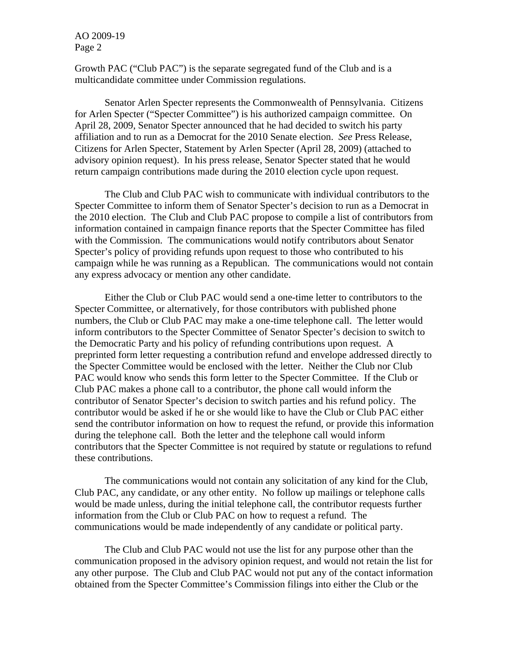Growth PAC ("Club PAC") is the separate segregated fund of the Club and is a multicandidate committee under Commission regulations.

Senator Arlen Specter represents the Commonwealth of Pennsylvania. Citizens for Arlen Specter ("Specter Committee") is his authorized campaign committee. On April 28, 2009, Senator Specter announced that he had decided to switch his party affiliation and to run as a Democrat for the 2010 Senate election. *See* Press Release, Citizens for Arlen Specter, Statement by Arlen Specter (April 28, 2009) (attached to advisory opinion request). In his press release, Senator Specter stated that he would return campaign contributions made during the 2010 election cycle upon request.

The Club and Club PAC wish to communicate with individual contributors to the Specter Committee to inform them of Senator Specter's decision to run as a Democrat in the 2010 election. The Club and Club PAC propose to compile a list of contributors from information contained in campaign finance reports that the Specter Committee has filed with the Commission. The communications would notify contributors about Senator Specter's policy of providing refunds upon request to those who contributed to his campaign while he was running as a Republican. The communications would not contain any express advocacy or mention any other candidate.

Either the Club or Club PAC would send a one-time letter to contributors to the Specter Committee, or alternatively, for those contributors with published phone numbers, the Club or Club PAC may make a one-time telephone call. The letter would inform contributors to the Specter Committee of Senator Specter's decision to switch to the Democratic Party and his policy of refunding contributions upon request. A preprinted form letter requesting a contribution refund and envelope addressed directly to the Specter Committee would be enclosed with the letter. Neither the Club nor Club PAC would know who sends this form letter to the Specter Committee. If the Club or Club PAC makes a phone call to a contributor, the phone call would inform the contributor of Senator Specter's decision to switch parties and his refund policy. The contributor would be asked if he or she would like to have the Club or Club PAC either send the contributor information on how to request the refund, or provide this information during the telephone call. Both the letter and the telephone call would inform contributors that the Specter Committee is not required by statute or regulations to refund these contributions.

The communications would not contain any solicitation of any kind for the Club, Club PAC, any candidate, or any other entity. No follow up mailings or telephone calls would be made unless, during the initial telephone call, the contributor requests further information from the Club or Club PAC on how to request a refund. The communications would be made independently of any candidate or political party.

The Club and Club PAC would not use the list for any purpose other than the communication proposed in the advisory opinion request, and would not retain the list for any other purpose. The Club and Club PAC would not put any of the contact information obtained from the Specter Committee's Commission filings into either the Club or the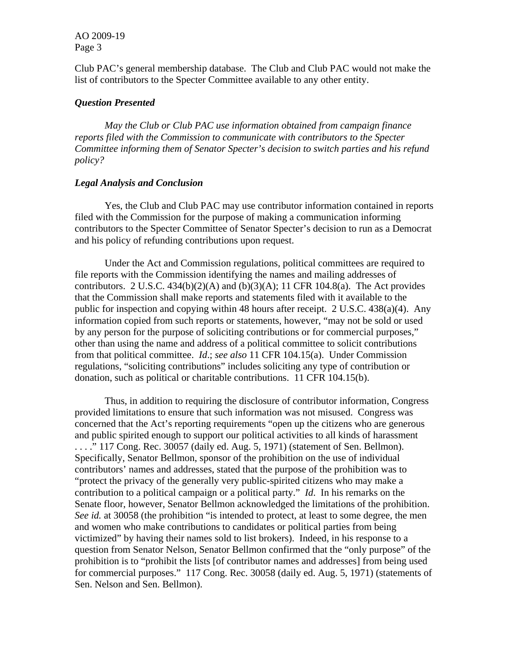Club PAC's general membership database. The Club and Club PAC would not make the list of contributors to the Specter Committee available to any other entity.

#### *Question Presented*

*May the Club or Club PAC use information obtained from campaign finance reports filed with the Commission to communicate with contributors to the Specter Committee informing them of Senator Specter's decision to switch parties and his refund policy?* 

### *Legal Analysis and Conclusion*

 Yes, the Club and Club PAC may use contributor information contained in reports filed with the Commission for the purpose of making a communication informing contributors to the Specter Committee of Senator Specter's decision to run as a Democrat and his policy of refunding contributions upon request.

 Under the Act and Commission regulations, political committees are required to file reports with the Commission identifying the names and mailing addresses of contributors. 2 U.S.C.  $434(b)(2)(A)$  and  $(b)(3)(A)$ ; 11 CFR 104.8(a). The Act provides that the Commission shall make reports and statements filed with it available to the public for inspection and copying within 48 hours after receipt. 2 U.S.C. 438(a)(4). Any information copied from such reports or statements, however, "may not be sold or used by any person for the purpose of soliciting contributions or for commercial purposes," other than using the name and address of a political committee to solicit contributions from that political committee. *Id*.; *see also* 11 CFR 104.15(a). Under Commission regulations, "soliciting contributions" includes soliciting any type of contribution or donation, such as political or charitable contributions. 11 CFR 104.15(b).

 Thus, in addition to requiring the disclosure of contributor information, Congress provided limitations to ensure that such information was not misused. Congress was concerned that the Act's reporting requirements "open up the citizens who are generous and public spirited enough to support our political activities to all kinds of harassment . . . ." 117 Cong. Rec. 30057 (daily ed. Aug. 5, 1971) (statement of Sen. Bellmon). Specifically, Senator Bellmon, sponsor of the prohibition on the use of individual contributors' names and addresses, stated that the purpose of the prohibition was to "protect the privacy of the generally very public-spirited citizens who may make a contribution to a political campaign or a political party." *Id*. In his remarks on the Senate floor, however, Senator Bellmon acknowledged the limitations of the prohibition. *See id.* at 30058 (the prohibition "is intended to protect, at least to some degree, the men and women who make contributions to candidates or political parties from being victimized" by having their names sold to list brokers). Indeed, in his response to a question from Senator Nelson, Senator Bellmon confirmed that the "only purpose" of the prohibition is to "prohibit the lists [of contributor names and addresses] from being used for commercial purposes." 117 Cong. Rec. 30058 (daily ed. Aug. 5, 1971) (statements of Sen. Nelson and Sen. Bellmon).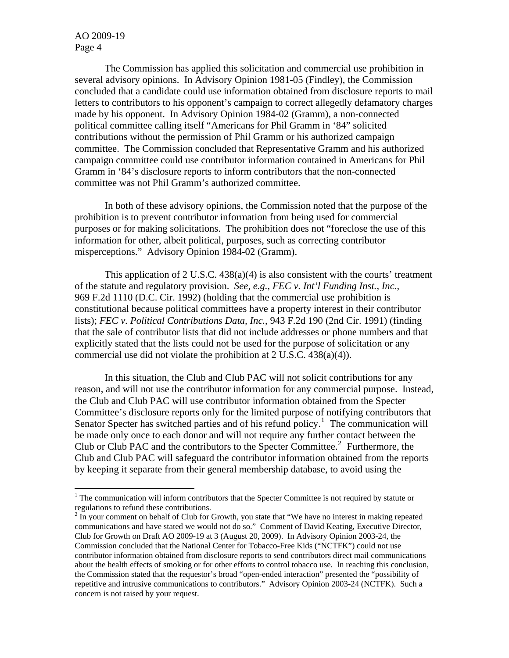$\overline{a}$ 

The Commission has applied this solicitation and commercial use prohibition in several advisory opinions. In Advisory Opinion 1981-05 (Findley), the Commission concluded that a candidate could use information obtained from disclosure reports to mail letters to contributors to his opponent's campaign to correct allegedly defamatory charges made by his opponent. In Advisory Opinion 1984-02 (Gramm), a non-connected political committee calling itself "Americans for Phil Gramm in '84" solicited contributions without the permission of Phil Gramm or his authorized campaign committee. The Commission concluded that Representative Gramm and his authorized campaign committee could use contributor information contained in Americans for Phil Gramm in '84's disclosure reports to inform contributors that the non-connected committee was not Phil Gramm's authorized committee.

In both of these advisory opinions, the Commission noted that the purpose of the prohibition is to prevent contributor information from being used for commercial purposes or for making solicitations. The prohibition does not "foreclose the use of this information for other, albeit political, purposes, such as correcting contributor misperceptions." Advisory Opinion 1984-02 (Gramm).

This application of 2 U.S.C. 438(a)(4) is also consistent with the courts' treatment of the statute and regulatory provision. *See, e.g.*, *FEC v. Int'l Funding Inst., Inc.*, 969 F.2d 1110 (D.C. Cir. 1992) (holding that the commercial use prohibition is constitutional because political committees have a property interest in their contributor lists); *FEC v. Political Contributions Data, Inc.*, 943 F.2d 190 (2nd Cir. 1991) (finding that the sale of contributor lists that did not include addresses or phone numbers and that explicitly stated that the lists could not be used for the purpose of solicitation or any commercial use did not violate the prohibition at 2 U.S.C. 438(a)(4)).

In this situation, the Club and Club PAC will not solicit contributions for any reason, and will not use the contributor information for any commercial purpose. Instead, the Club and Club PAC will use contributor information obtained from the Specter Committee's disclosure reports only for the limited purpose of notifying contributors that Senator Specter has switched parties and of his refund policy.<sup>[1](#page-3-0)</sup> The communication will be made only once to each donor and will not require any further contact between the Club or Club PAC and the contributors to the Specter Committee.<sup>[2](#page-3-1)</sup> Furthermore, the Club and Club PAC will safeguard the contributor information obtained from the reports by keeping it separate from their general membership database, to avoid using the

<span id="page-3-0"></span><sup>&</sup>lt;sup>1</sup> The communication will inform contributors that the Specter Committee is not required by statute or regulations to refund these contributions.

<span id="page-3-1"></span> $2 \text{ In your comment on behalf of Club for Growth, you state that "We have no interest in making repeated" and the other hand, we can use the same result.$ communications and have stated we would not do so." Comment of David Keating, Executive Director, Club for Growth on Draft AO 2009-19 at 3 (August 20, 2009). In Advisory Opinion 2003-24, the Commission concluded that the National Center for Tobacco-Free Kids ("NCTFK") could not use contributor information obtained from disclosure reports to send contributors direct mail communications about the health effects of smoking or for other efforts to control tobacco use. In reaching this conclusion, the Commission stated that the requestor's broad "open-ended interaction" presented the "possibility of repetitive and intrusive communications to contributors." Advisory Opinion 2003-24 (NCTFK). Such a concern is not raised by your request.